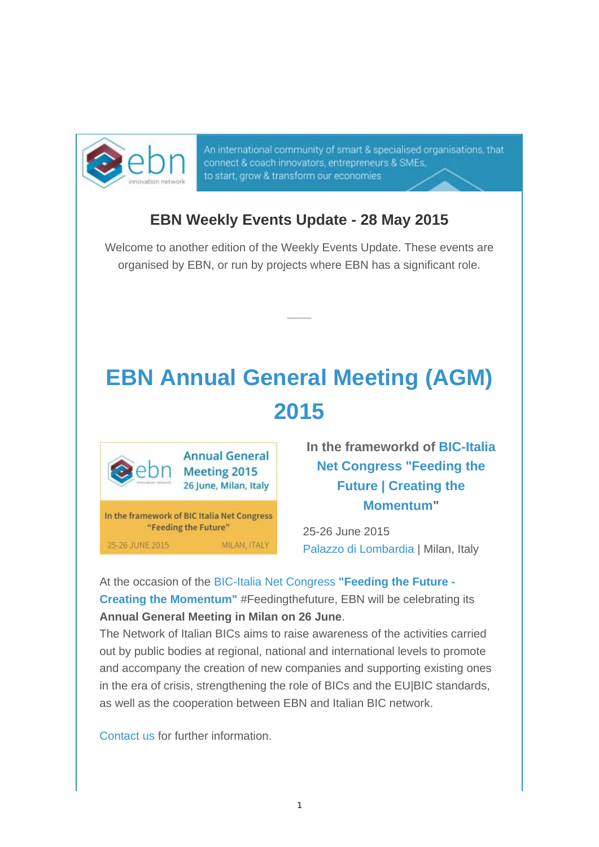

An international community of smart & specialised organisations, that connect & coach innovators, entrepreneurs & SMEs, to start, grow & transform our economies

## **EBN Weekly Events Update - 28 May 2015**

Welcome to another edition of the Weekly Events Update. These events are organised by EBN, or run by projects where EBN has a significant role.

## **EBN Annual General Meeting (AGM) 2015**



25-26 JUNE 2015

**In the frameworkd of BIC-Italia Net Congress "Feeding the Future | Creating the Momentum"** 

25-26 June 2015 Palazzo di Lombardia | Milan, Italy

At the occasion of the BIC-Italia Net Congress **"Feeding the Future - Creating the Momentum"** #Feedingthefuture, EBN will be celebrating its **Annual General Meeting in Milan on 26 June**.

MILAN, ITALY

The Network of Italian BICs aims to raise awareness of the activities carried out by public bodies at regional, national and international levels to promote and accompany the creation of new companies and supporting existing ones in the era of crisis, strengthening the role of BICs and the EU|BIC standards, as well as the cooperation between EBN and Italian BIC network.

Contact us for further information.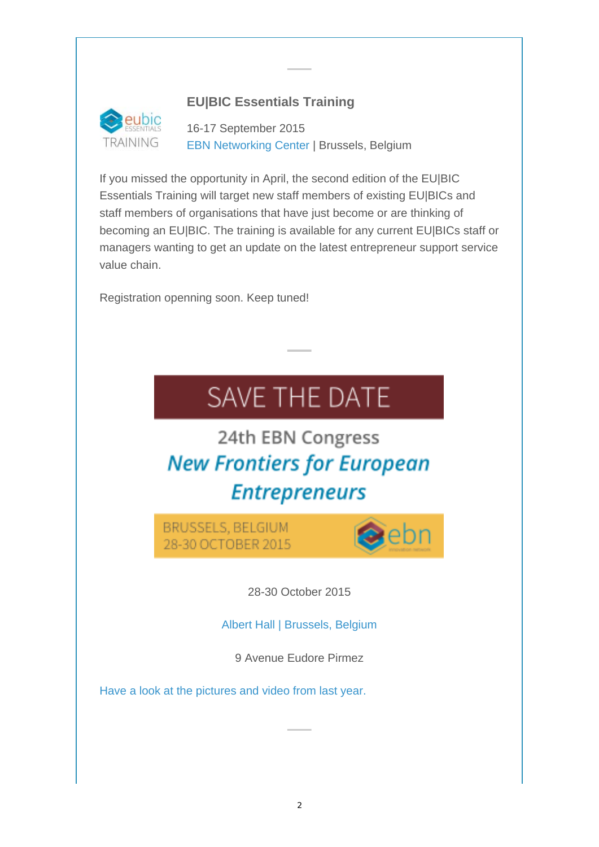## **EU|BIC Essentials Training**



16-17 September 2015 EBN Networking Center | Brussels, Belgium

If you missed the opportunity in April, the second edition of the EU|BIC Essentials Training will target new staff members of existing EU|BICs and staff members of organisations that have just become or are thinking of becoming an EU|BIC. The training is available for any current EU|BICs staff or managers wanting to get an update on the latest entrepreneur support service value chain.

Registration openning soon. Keep tuned!

## SAVE THE DATE

24th EBN Congress **New Frontiers for European Entrepreneurs** 

BRUSSELS, BELGIUM 28-30 OCTOBER 2015



28-30 October 2015

Albert Hall | Brussels, Belgium

9 Avenue Eudore Pirmez

Have a look at the pictures and video from last year.